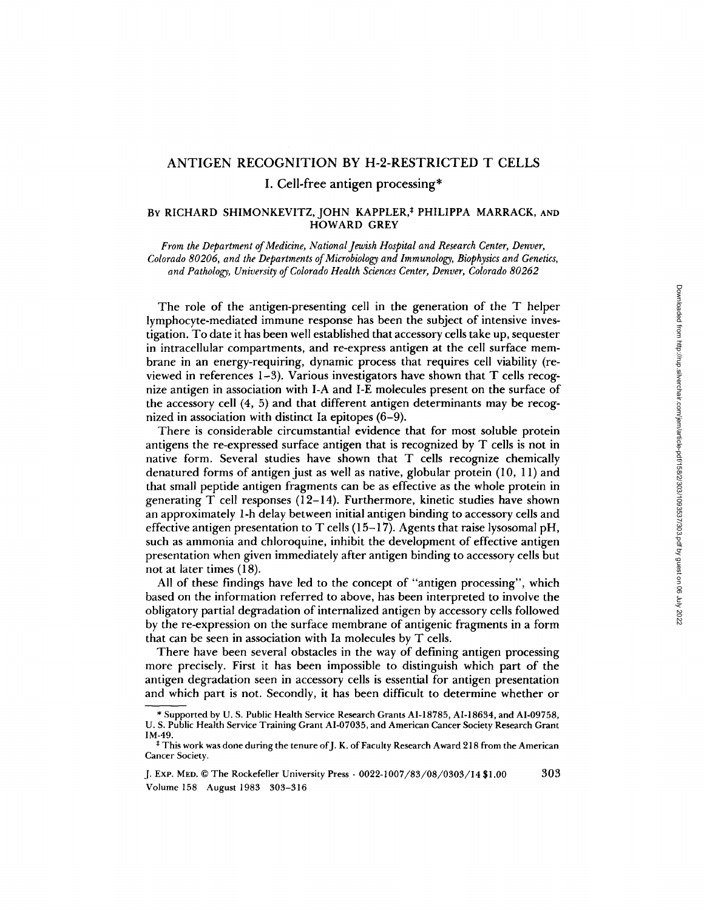## ANTIGEN RECOGNITION BY H-2-RESTRICTED T CELLS

I. Cell-free antigen processing\*

## BY RICHARD SHIMONKEVITZ, JOHN KAPPLER,\* PHILIPPA MARRACK, AND HOWARD GREY

*From the Department of Medicine, National Jewish Hospital and Research Center, Denver, Colorado 80206, and the Departments of Microbiology and Immunology, Biophysics and Genetics, and Pathology, University of Colorado Health Sciences Center, Denver, Colorado 80262* 

The role of the antigen-presenting cell in the generation of the T helper lymphocyte-mediated immune response has been the subject of intensive investigation. To date it has been well established that accessory cells take up, sequester in intracellular compartments, and re-express antigen at the cell surface membrane in an energy-requiring, dynamic process that requires cell viability (reviewed in references 1-3). Various investigators have shown that T cells recognize antigen in association with I-A and I-E molecules present on the surface of the accessory cell (4, 5) and that different antigen determinants may be recognized in association with distinct Ia epitopes (6-9).

There is considerable circumstantial evidence that for most soluble protein antigens the re-expressed surface antigen that is recognized by T cells is not in native form. Several studies have shown that T cells recognize chemically denatured forms of antigen just as well as native, globular protein (10, 11) and that small peptide antigen fragments can be as effective as the whole protein in generating  $T$  cell responses (12-14). Furthermore, kinetic studies have shown an approximately 1-h delay between initial antigen binding to accessory cells and effective antigen presentation to T cells  $(15-17)$ . Agents that raise lysosomal pH, such as ammonia and chloroquine, inhibit the development of effective antigen presentation when given immediately after antigen binding to accessory cells but not at later times (18).

All of these findings have led to the concept of "antigen processing", which based on the information referred to above, has been interpreted to involve the obligatory partial degradation of internalized antigen by accessory cells followed by the re-expression on the surface membrane of antigenic fragments in a form that can be seen in association with Ia molecules by T cells.

There have been several obstacles in the way of defining antigen processing more precisely. First it has been impossible to distinguish which part of the antigen degradation seen in accessory cells is essential for antigen presentation and which part is not. Secondly, it has been difficult to determine whether or

<sup>\*</sup> Supported by U. S. Public Health Service Research Grants AI-18785, AI-18634, and AI-09758, U. S. Public Health Service Training Grant AI-07035, and American Cancer Society Research Grant IM-49.

 $^{\ddagger}$  This work was done during the tenure of J. K. of Faculty Research Award 218 from the American Cancer Society.

J. ExP. MED. © The Rockefeller University Press • 0022-1007/83/08/0303/14 \$1.00 303 Volume 158 August 1983 303-316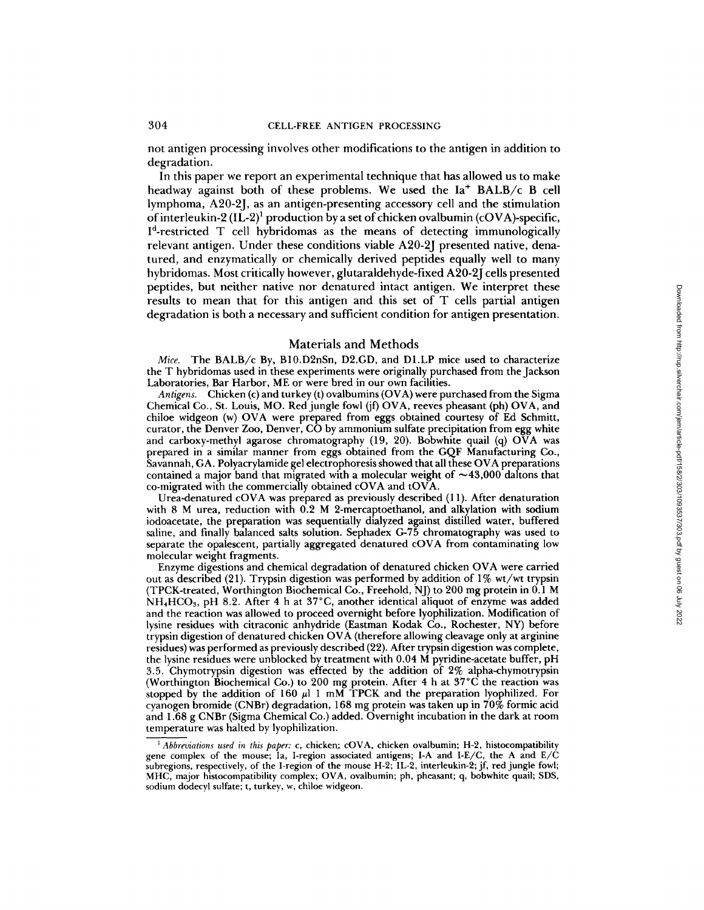not antigen processing involves other modifications to the antigen in addition to degradation.

In this paper we report an experimental technique that has allowed us to make headway against both of these problems. We used the Ia<sup>+</sup> BALB/c B cell lymphoma, A20-2J, as an antigen-presenting accessory cell and the stimulation of interleukin-2 (IL-2)<sup>1</sup> production by a set of chicken ovalbumin (cOVA)-specific,  $I<sup>d</sup>$ -restricted T cell hybridomas as the means of detecting immunologically relevant antigen. Under these conditions viable A20-2J presented native, denatured, and enzymatically or chemically derived peptides equally well to many hybridomas. Most critically however, glutaraldehyde-fixed A20-2J cells presented peptides, but neither native nor denatured intact antigen. We interpret these results to mean that for this antigen and this set of T cells partial antigen degradation is both a necessary and sufficient condition for antigen presentation.

### Materials and Methods

*Mice.* The BALB/c By, B10.D2nSn, D2.GD, and D1.LP mice used to characterize the T hybridomas used in these experiments were originally purchased from the Jackson Laboratories, Bar Harbor, ME or were bred in our own facilities.

*Antigens.* Chicken (c) and turkey (t) ovalbumins (OVA) were purchased from the Sigma Chemical Co., St. Louis, MO. Red jungle fowl (jf) OVA, reeves pheasant (ph) OVA, and chiloe widgeon (w) OVA were prepared from eggs obtained courtesy of Ed Schmitt, curator, the Denver Zoo, Denver, CO by ammonium sulfate precipitation from egg white and carboxy-methyl agarose chromatography (19, 20). Bobwhite quail (q)  $\overrightarrow{OVA}$  was prepared in a similar manner from eggs obtained from the GQF Manufacturing Co., Savannah, GA. Polyacrylamide gel electrophoresis showed that all these OVA preparations contained a major band that migrated with a molecular weight of  $\sim$ 43,000 daltons that co-migrated with the commercially obtained cOVA and tOVA.

Urea-denatured cOVA was prepared as previously described (11). After denaturation with 8 M urea, reduction with 0.2 M 2-mercaptoethanol, and alkylation with sodium iodoacetate, the preparation was sequentially dialyzed against distilled water, buffered saline, and finally balanced salts solution. Sephadex G-75 chromatography was used to separate the opalescent, partially aggregated denatured cOVA from contaminating low molecular weight fragments.

Enzyme digestions and chemical degradation of denatured chicken OVA were carried out as described (21). Trypsin digestion was performed by addition of 1% wt/wt trypsin (TPCK-treated, Worthington Biochemical Co., Freehold, N J) to 200 mg protein in 0.1 M NH4HCO3, pH 8.2. After 4 h at 37°C, another identical aliquot of enzyme was added and the reaction was allowed to proceed overnight before lyophilization. Modification of lysine residues with citraconic anhydride (Eastman Kodak Co., Rochester, NY) before trypsin digestion of denatured chicken OVA (therefore allowing cleavage only at arginine residues) was performed as previously described (22). After trypsin digestion was complete, the lysine residues were unblocked by treatment with 0.04 M pyridine-acetate buffer, pH 3.5. Chymotrypsin digestion was effected by the addition of 2% alpha-chymotrypsin (Worthington Biochemical Co.) to 200 mg protein. After 4 h at 37°C the reaction was stopped by the addition of 160  $\mu$ 1 mM TPCK and the preparation lyophilized. For cyanogen bromide (CNBr) degradation, 168 mg protein was taken up in 70% formic acid and 1.68 g CNBr (Sigma Chemical Co.) added. Overnight incubation in the dark at room temperature was halted by lyophilization.

*t Abbreviations used in this paper:* c, chicken; cOVA, chicken ovalbumin; H-2, histocompatibility gene complex of the mouse; Ia, I-region associated antigens; I-A and I-E/C, the A and E/C subregions, respectively, of the I-region of the mouse H-2; IL-2, interleukin-2; jf, red jungle fowl; MHC, major histocompatibility complex; OVA, ovalbumin; ph, pheasant; q, bobwhite quail; SDS, sodium dodecyl sulfate; t, turkey, w, chiloe widgeon.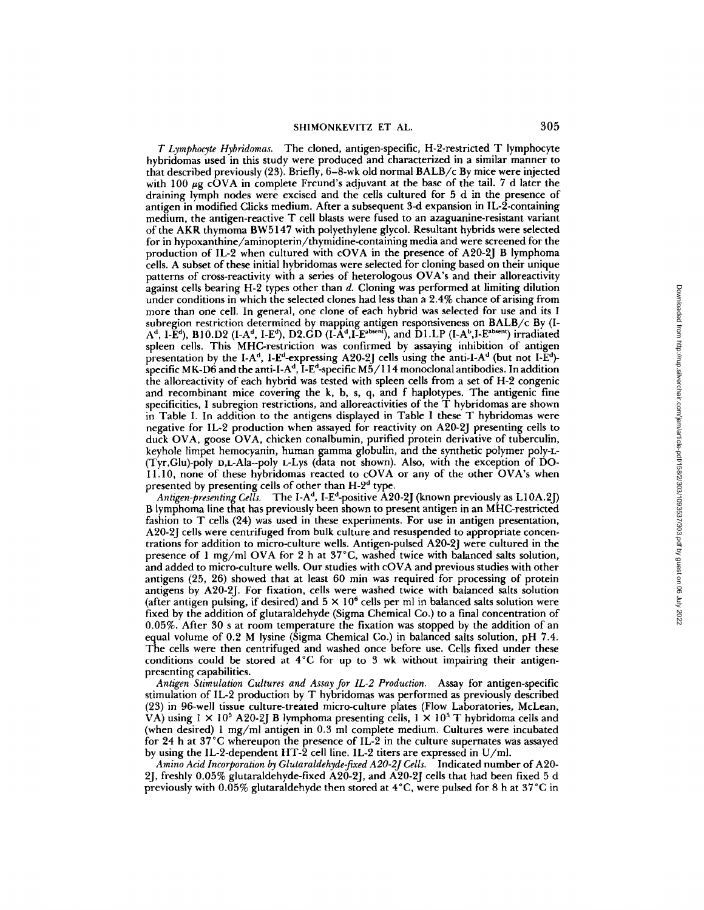*T Lymphocyte Hybridomas.* The cloned, antigen-specific, H-2-restricted T lymphocyte hybridomas used in this study were produced and characterized in a similar manner to that described previously (23). Briefly, 6-8-wk old normal BALB/c By mice were injected with 100  $\mu$ g cOVA in complete Freund's adjuvant at the base of the tail. 7 d later the draining lymph nodes were excised and the cells cultured for 5 d in the presence of antigen in modified Clicks medium. After a subsequent 3-d expansion in IL-2-containing medium, the antigen-reactive T cell blasts were fused to an azaguanine-resistant variant of the AKR thymoma BW5147 with polyethylene glycol. Resultant hybrids were selected for in hypoxanthine/aminopterin/thymidine-containing media and were screened for the production of IL-2 when cultured with cOVA in the presence of A20-2J B lymphoma cells. A subset of these initial hybridomas were selected for cloning based on their unique patterns of cross-reactivity with a series of heterologous OVA's and their alloreactivity against cells bearing H-2 types other than d. Cloning was performed at limiting dilution under conditions in which the selected clones had less than a 2.4% chance of arising from more than one cell. In general, one clone of each hybrid was selected for use and its I subregion restriction determined by mapping antigen responsiveness on BALB/c By (I- $A<sup>d</sup>$ , I-E<sup>d</sup>), B10.D2 (I-A<sup>d</sup>, I-E<sup>d</sup>), D2.GD (I-A<sup>d</sup>, I-E<sup>absent</sup>), and D1.LP (I-A<sup>b</sup>, I-E<sup>absent</sup>) irradiated spleen cells. This MHC-restriction was confirmed by assaying inhibition of antigen presentation by the I-A<sup>d</sup>, I-E<sup>d</sup>-expressing A20-2J cells using the anti-I-A<sup>d</sup> (but not I-E<sup>d</sup>)specific MK-D6 and the anti-I-A<sup>d</sup>, I-E<sup>d</sup>-specific M5/114 monoclonal antibodies. In addition the alloreactivity of each hybrid was tested with spleen cells from a set of H-2 congenic and recombinant mice covering the k, b, s, q, and f haplotypes. The antigenic fine specificities, I subregion restrictions, and alloreactivities of the T hybridomas are shown in Table I. In addition to the antigens displayed in Table I these T hybridomas were negative for IL-2 production when assayed for reactivity on A20-2J presenting cells to duck OVA, goose OVA, chicken conalbumin, purified protein derivative of tuberculin, keyhole limpet hemocyanin, human gamma globulin, and the synthetic polymer poly-L- (Tyr,Glu)-poly t),L-Ala--poly L-Lys (data not shown). Also, with the exception of DO-11.10, none of these hybridomas reacted to cOVA or any of the other OVA's when presented by presenting cells of other than  $H-2<sup>d</sup>$  type.

Antigen-presenting Cells. The I-A<sup>d</sup>, I-E<sup>d</sup>-positive A20-2J (known previously as L10A.2J) B lymphoma line that has previously been shown to present antigen in an MHC-restricted fashion to T cells (24) was used in these experiments. For use in antigen presentation, A20-2J cells were centrifuged from bulk culture and resuspended to appropriate concentrations for addition to micro-culture wells. Antigen-pulsed A20-2J were cultured in the presence of 1 mg/ml OVA for 2 h at 37°C, washed twice with balanced salts solution, and added to micro-culture wells. Our studies with cOVA and previous studies with other antigens  $(25, 26)$  showed that at least  $60$  min was required for processing of protein antigens by A20-2J. For fixation, cells were washed twice with balanced salts solution (after antigen pulsing, if desired) and  $5 \times 10^6$  cells per ml in balanced salts solution were fixed by the addition of glutaraldehyde (Sigma Chemical Co.) to a final concentration of 0.05%. After 30 s at room temperature the fixation was stopped by the addition of an equal volume of 0.2 M lysine (Sigma Chemical Co.) in balanced salts solution, pH 7.4. The cells were then centrifuged and washed once before use. Cells fixed under these conditions could be stored at 4°C for up to 3 wk without impairing their antigenpresenting capabilities.

*Antigen Stimulation Cultures and Assay for IL-2 Production.* Assay for antigen-specific stimulation of IL-2 production by T hybridomas was performed as previously described (23) in 96-well tissue culture-treated micro-culture plates (Flow Laboratories, McLean, VA) using  $1 \times 10^5$  A20-2J B lymphoma presenting cells,  $1 \times 10^5$  T hybridoma cells and (when desired) 1 mg/ml antigen in 0.3 ml complete medium. Cultures were incubated for 24 h at 37°C whereupon the presence of IL-2 in the culture supernates was assayed by using the IL-2-dependent HT-2 cell line. IL-2 titers are expressed in U/ml.

*Amino Acid Incorporation by Glutaraldehyde-fixed A20-2J Cells.* Indicated number of A20- 2J, freshly 0.05% glutaraldehyde-fixed A20-2J, and A20-2J cells that had been fixed 5 d previously with 0.05% glutaraldehyde then stored at 4°C, were pulsed for 8 h at 37 °C in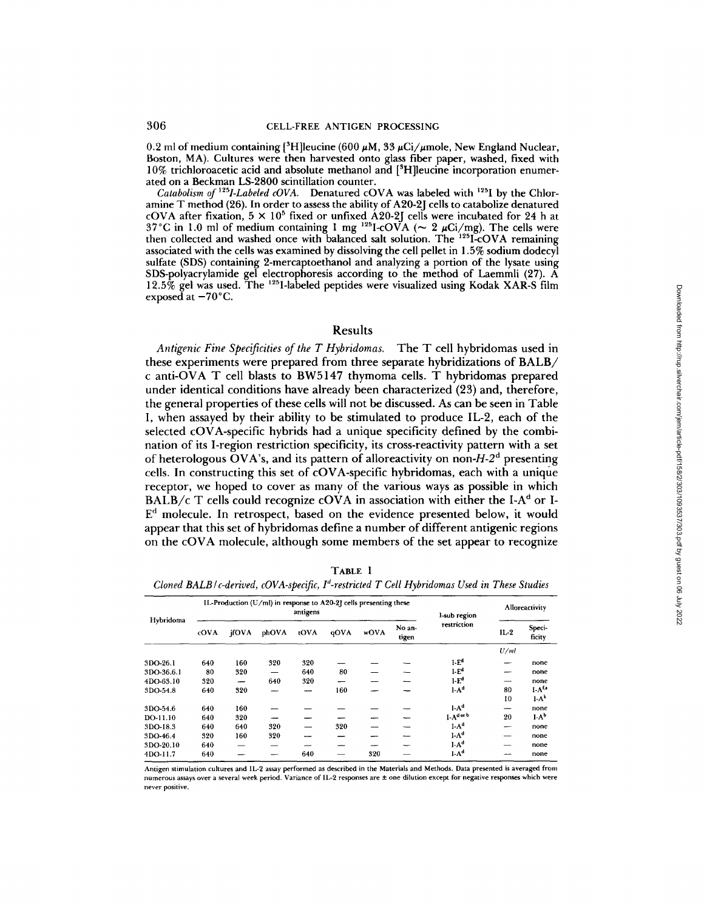0.2 ml of medium containing  $[{}^3H]$ leucine (600  $\mu$ M, 33  $\mu$ Ci/ $\mu$ mole, New England Nuclear, **Boston, MA). Cultures were then harvested onto glass fiber paper, washed, fixed with 10% trichloroacetic acid and absolute methanol and [3H]leucine incorporation enumerated on a Beckman LS-2800 scintillation counter.** 

*Catabolism of <sup>125</sup>I-Labeled cOVA.* Denatured cOVA was labeled with <sup>125</sup>I by the Chlor**amine T method (26). In order to assess the ability of A20-2J cells to catabolize denatured**  cOVA after fixation,  $5 \times 10^5$  fixed or unfixed A20-2J cells were incubated for 24 h at  $37^{\circ}$ C in 1.0 ml of medium containing 1 mg  $^{125}$ I-COVA ( $\sim$  2  $\mu$ Ci/mg). The cells were then collected and washed once with balanced salt solution. The <sup>125</sup>I-COVA remaining **associated with the cells was examined by dissolving the cell pellet in 1.5% sodium dodecyl sulfate (SDS) containing 2-mercaptoethanol and analyzing a portion of the lysate using SDS-polyacrylamide gel electrophoresis according to the method of Laemmli (27). A 12.5% gel was used. The t25I-labeled peptides were visualized using Kodak XAR-S film**  exposed at  $-70^{\circ}$ C.

### **Results**

Antigenic Fine Specificities of the T Hybridomas. The T cell hybridomas used in **these experiments were prepared from three separate hybridizations of BALB/ c anti-OVA T cell blasts to BW5147 thymoma cells. T hybridomas prepared under identical conditions have already been characterized (23) and, therefore, the general properties of these cells will not be discussed. As can be seen in Table I, when assayed by their ability to be stimulated to produce IL-2, each of the selected cOVA-specific hybrids had a unique specificity defined by the combination of its I-region restriction specificity, its cross-reactivity pattern with a set of heterologous OVA's, and its pattern of alloreactivity on** *non-H-2 a* **presenting cells. In constructing this set of cOVA-specific hybridomas, each with a unique receptor, we hoped to cover as many of the various ways as possible in which BALB/c** T cells could recognize cOVA in association with either the I-A<sup>d</sup> or I-**E d molecule. In retrospect, based on the evidence presented below, it would appear that this set of hybridomas define a number of different antigenic regions on the cOVA molecule, although some members of the set appear to recognize** 

| u |
|---|
|---|

*Cloned BALB/c-derived, cOVA-specific, I<sup>d</sup>-restricted T Cell Hybridomas Used in These Studies* 

|            |      |       | IL-Production (U/ml) in response to A20-2J cells presenting these | I-sub region |      | Alloreactivity |                 |                  |        |                  |
|------------|------|-------|-------------------------------------------------------------------|--------------|------|----------------|-----------------|------------------|--------|------------------|
| Hybridoma  | cOVA | ifOVA | phOVA                                                             | tOVA         | qOVA | wOVA           | No an-<br>tigen | restriction      | $IL-2$ | Speci-<br>ficity |
|            |      |       |                                                                   |              |      |                |                 |                  | U/ml   |                  |
| 3DO-26.1   | 640  | 160   | 320                                                               | 320          |      |                |                 | I-E <sup>d</sup> | –      | none             |
| 3DO-36.6.1 | 80   | 320   |                                                                   | 640          | 80   |                |                 | $1-Ed$           | --     | none             |
| 4DO-63.10  | 320  |       | 640                                                               | 320          |      |                |                 | $I - Ed$         | –      | none             |
| 3DO-54.8   | 640  | 320   |                                                                   | ---          | 160  |                |                 | $I-A^d$          | 80     | $I-Af,s$         |
|            |      |       |                                                                   |              |      |                |                 |                  | 10     | $1-Ak$           |
| 3DO-54.6   | 640  | 160   |                                                                   |              |      |                |                 | I.A <sup>d</sup> | --     | none             |
| DO-11.10   | 640  | 320   |                                                                   |              |      |                |                 | I-Adorb          | 20     | $I-Ab$           |
| 3DO-18.3   | 640  | 640   | 320                                                               |              | 320  |                |                 | $I-A^d$          | --     | none             |
| 3DO-46.4   | 320  | 160   | 320                                                               |              |      |                |                 | $I-A^d$          | -      | none             |
| 3DO-20.10  | 640  |       |                                                                   |              |      |                |                 | $I-A^d$          |        | none             |
| 4DO-11.7   | 640  |       |                                                                   | 640          |      | 320            |                 | $I-Ad$           |        | none             |

**Antigen stimulation cultures and IL-2 assay performed as described in the Materials and Methods. Data presented is averaged from numerous assays over a several week period. Variance of IL-2 responses are ± one dilution except for negative responses which were never positive.**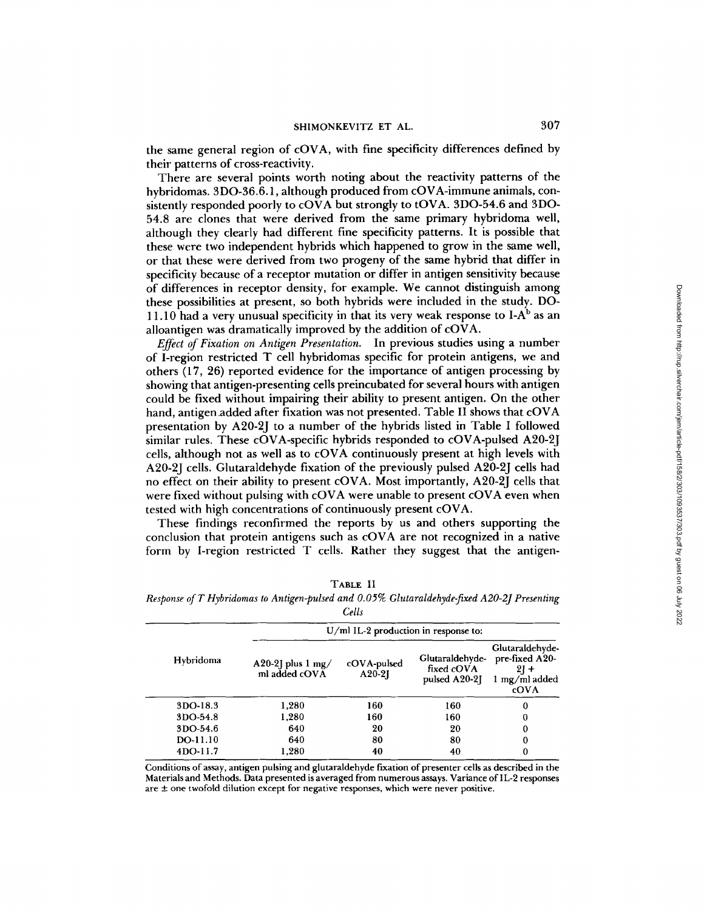the same general region of cOVA, with fine specificity differences defined by their patterns of cross-reactivity.

There are several points worth noting about the reactivity patterns of the hybridomas. 3DO-36.6.1, although produced from cOVA-immune animals, consistently responded poorly to cOVA but strongly to tOVA. 3DO-54.6 and 3DO-54.8 are clones that were derived from the same primary hybridoma well, although they clearly had different fine specificity patterns. It is possible that these were two independent hybrids which happened to grow in the same well, or that these were derived from two progeny of the same hybrid that differ in specificity because of a receptor mutation or differ in antigen sensitivity because of differences in receptor density, for example. We cannot distinguish among these possibilities at present, so both hybrids were included in the study. DO-11.10 had a very unusual specificity in that its very weak response to I- $A<sup>b</sup>$  as an alloantigen was dramatically improved by the addition of cOVA.

*Effect of Fixation on Antigen Presentation.* In previous studies using a number of I-region restricted T cell hybridomas specific for protein antigens, we and others (17, 26) reported evidence for the importance of antigen processing by showing that antigen-presenting cells preincubated for several hours with antigen could be fixed without impairing their ability to present antigen. On the other hand, antigen.added after fixation was not presented. Table II shows that cOVA presentation by A20-2J to a number of the hybrids listed in Table I followed similar rules. These cOVA-specific hybrids responded to cOVA-pulsed A20-2J cells, although not as well as to cOVA continuously present at high levels with A20-2J cells. Glutaraldehyde fixation of the previously pulsed A20-2J cells had no effect on their ability to present cOVA. Most importantly, A20-2J cells that were fixed without pulsing with cOVA were unable to present cOVA even when tested with high concentrations of continuously present cOVA.

These findings reconfirmed the reports by us and others supporting the conclusion that protein antigens such as cOVA are not recognized in a native form by I-region restricted T cells. Rather they suggest that the antigen-

| κ<br>u<br>ч | . |
|-------------|---|
|             |   |

*Response of T Hybridomas to Antigen-pulsed and 0.05% Glutaraldehyde-fixed A20-2J Presenting Cells* 

|           | $U/ml$ IL-2 production in response to:      |                         |                                                |                                                                      |  |  |  |
|-----------|---------------------------------------------|-------------------------|------------------------------------------------|----------------------------------------------------------------------|--|--|--|
| Hybridoma | A20-2] plus $1 \text{ mg}$<br>ml added cOVA | cOVA-pulsed<br>$A20-2I$ | Glutaraldehyde-<br>fixed cOVA<br>pulsed A20-21 | Glutaraldehyde-<br>pre-fixed A20-<br>$21 +$<br>1 mg/ml added<br>cOVA |  |  |  |
| 3DO-18.3  | 1,280                                       | 160                     | 160                                            | 0                                                                    |  |  |  |
| 3DO-54.8  | 1,280                                       | 160                     | 160                                            | 0                                                                    |  |  |  |
| 3DO-54.6  | 640                                         | 20                      | 20                                             | 0                                                                    |  |  |  |
| DO-11.10  | 640                                         | 80                      | 80                                             | 0                                                                    |  |  |  |
| 4DO-11.7  | 1,280                                       | 40                      | 40                                             | 0                                                                    |  |  |  |

Conditions of assay, antigen pulsing and glutaraldehyde fixation of presenter cells as described in the Materials and Methods. Data presented is averaged from numerous assays. Variance of IL-2 responses are  $\pm$  one twofold dilution except for negative responses, which were never positive.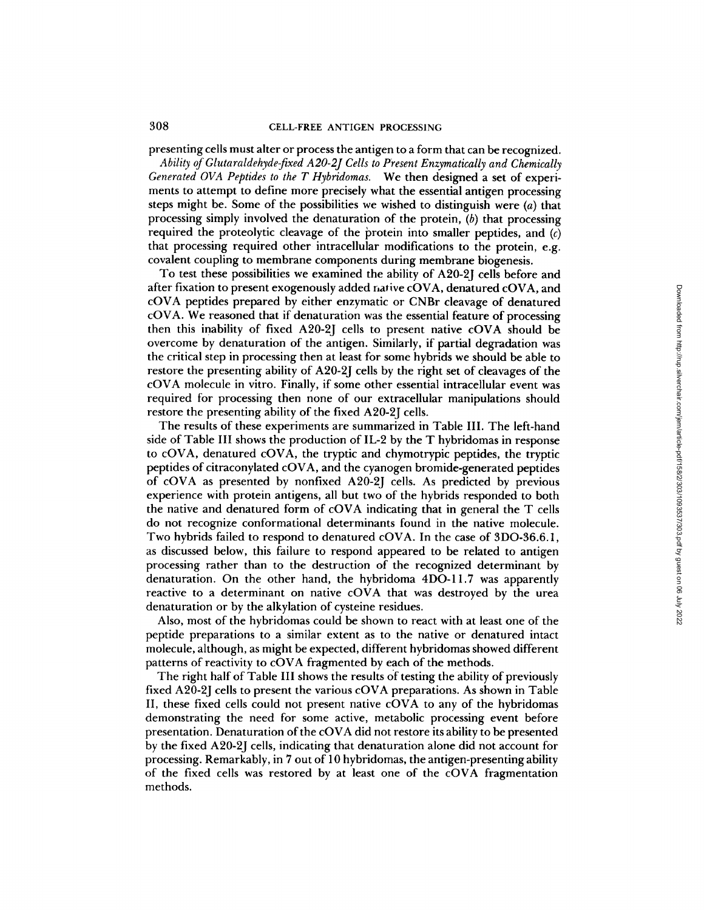presenting cells must alter or process the antigen to a form that can be recognized.

*Ability of Glutaraldehyde-fixed A20-2J Cells to Present Enzymatically and Chemically Generated OVA Peptides to the T Hybridomas.* We then designed a set of experiments to attempt to define more precisely what the essential antigen processing steps might be. Some of the possibilities we wished to distinguish were  $(a)$  that processing simply involved the denaturation of the protein,  $(b)$  that processing required the proteolytic cleavage of the protein into smaller peptides, and  $(c)$ that processing required other intracellular modifications to the protein, e.g. covalent coupling to membrane components during membrane biogenesis.

To test these possibilities we examined the ability of A20-2J cells before and after fixation to present exogenously added native cOVA, denatured cOVA, and cOVA peptides prepared by either enzymatic or CNBr cleavage of denatured cOVA. We reasoned that if denaturation was the essential feature of processing then this inability of fixed A20-2J cells to present native cOVA should be overcome by denaturation of the antigen. Similarly, if partial degradation was the critical step in processing then at least for some hybrids we should be able to restore the presenting ability of A20-2J cells by the right set of cleavages of the cOVA molecule in vitro. Finally, if some other essential intracellular event was required for processing then none of our extracellular manipulations should restore the presenting ability of the fixed A20-2J cells.

The results of these experiments are summarized in Table III. The left-hand side of Table III shows the production of IL-2 by the T hybridomas in response to cOVA, denatured cOVA, the tryptic and chymotrypic peptides, the tryptic peptides of citraconylated cOVA, and the cyanogen bromide-generated peptides of cOVA as presented by nonfixed A20-2J cells. As predicted by previous experience with protein antigens, all but two of the hybrids responded to both the native and denatured form of cOVA indicating that in general the T cells do not recognize conformational determinants found in the native molecule. Two hybrids failed to respond to denatured cOVA. In the case of 3DO-36.6.1, as discussed below, this failure to respond appeared to be related to antigen processing rather than to the destruction of the recognized determinant by denaturation. On the other hand, the hybridoma 4DO-11.7 was apparently reactive to a determinant on native cOVA that was destroyed by the urea denaturation or by the alkylation of cysteine residues.

Also, most of the hybridomas could be shown to react with at least one of the peptide preparations to a similar extent as to the native or denatured intact molecule, although, as might be expected, different hybridomas showed different patterns of reactivity to cOVA fragmented by each of the methods.

The right half of Table III shows the results of testing the ability of previously fixed A20-2J cells to present the various cOVA preparations. As shown in Table II, these fixed cells could not present native cOVA to any of the hybridomas demonstrating the need for some active, metabolic processing event before presentation. Denaturation of the cOVA did not restore its ability to be presented by the fixed A20-2J cells, indicating that denaturation alone did not account for processing. Remarkably, in 7 out of 10 hybridomas, the antigen-presenting ability of the fixed cells was restored by at least one of the cOVA fragmentation methods.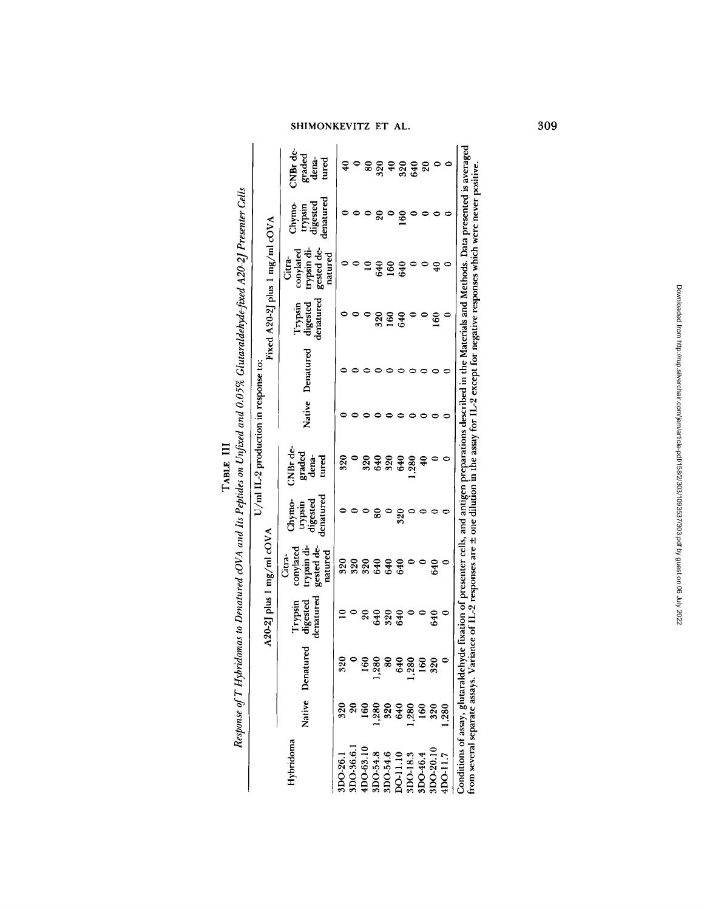| ľ | ADDED ATL<br>֖֖֖֖֖֖֖֖֖֖ׅ֖֖֖֖֧ׅ֖֧֖֧֪֪֪֧֚֚֚֚֚֚֚֚֚֚֚֚֚֚֚֚֚֚֚֚֚֚֚֬֝֝֝֝֓֞֝֓֞֝֝ | :<br>$\frac{1}{2}$<br>ļ<br>;<br>Ĩ<br>$\ddot{\ddot{\delta}}$ |
|---|---------------------------------------------------------------------------|-------------------------------------------------------------|
|   |                                                                           | ;<br>;<br>ו<br>ו                                            |

|                 |                  |                  |                                  | $A20-2$ ] plus 1 mg/ml cOVA                                 |                                           |                                        |        |           |                                  | Fixed A20-2J plus 1 mg/ml cOVA                              |                                            |                                      |
|-----------------|------------------|------------------|----------------------------------|-------------------------------------------------------------|-------------------------------------------|----------------------------------------|--------|-----------|----------------------------------|-------------------------------------------------------------|--------------------------------------------|--------------------------------------|
| Hybridoma       |                  | Native Denatured | denatured<br>digested<br>Trypsin | trypsin di-<br>gested de-<br>conylated<br>natured<br>Citra- | denatured<br>Chymo-<br>digested<br>urqq/u | $CN$ Br de<br>graded<br>tured<br>dena- | Native | Denatured | denatured<br>Trypsin<br>digested | trypsin di-<br>gested de-<br>conylated<br>natured<br>Citra- | tenatured<br>Chymo-<br>trypsin<br>digested | CNBr de-<br>graded<br>dena-<br>tured |
| DO-26.1         | 320              | 32 <sub>1</sub>  |                                  | 320                                                         |                                           | 320                                    |        |           |                                  |                                                             |                                            | ₽                                    |
| DO-36.6.        |                  |                  |                                  | 320                                                         |                                           |                                        |        |           |                                  |                                                             |                                            |                                      |
| DO-63.10        |                  | ě                | 20                               |                                                             |                                           | 320                                    |        |           |                                  |                                                             |                                            | 80                                   |
| DO-54.8         | .280             | $\frac{28}{5}$   | 640                              | 320<br>640                                                  | 80                                        | 640                                    |        |           | 320                              | 640                                                         |                                            | 320                                  |
| DO-54.6         | $\frac{320}{20}$ | ž                | 320                              | 640                                                         |                                           |                                        |        |           | 160                              | 160                                                         |                                            | $\ddot{ }$                           |
| <b>DO-11.10</b> | 640              | 64(              | 640                              | 640                                                         | 320                                       | 320<br>640                             |        |           | 640                              | 640                                                         | $\frac{60}{2}$                             | 320                                  |
| DO-18.3         | ,280             | , 280            |                                  |                                                             |                                           | , 280                                  |        |           |                                  |                                                             |                                            | 640                                  |
| DO-46.4         | 160              | 160              |                                  |                                                             |                                           | Ş                                      |        |           |                                  |                                                             |                                            | ຊ                                    |
| DO-20.10        | 320              | $\frac{32}{5}$   | 640                              | 640                                                         |                                           |                                        |        |           | 160                              | $\mathcal{L}$                                               |                                            |                                      |
| <b>DO-11.7</b>  | .280             |                  |                                  |                                                             |                                           |                                        |        |           |                                  |                                                             |                                            |                                      |

from several separate assays. Variance of IL-2 responses are  $\pm$  one dilution in the assay for IL-2 except for negative responses which were never positive.

# SHIMONKEVITZ ET AL. 309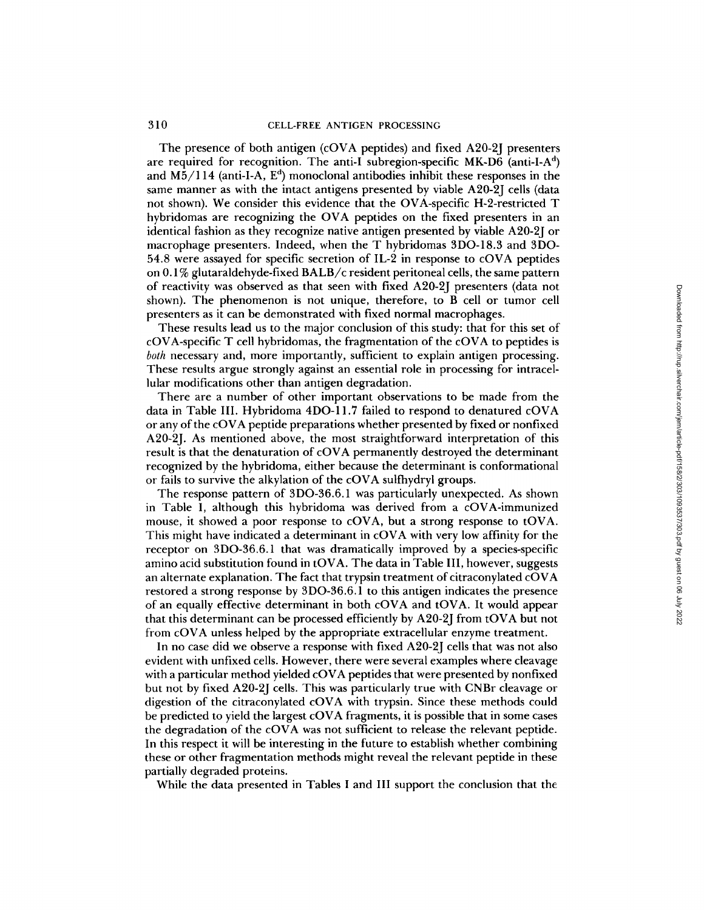The presence of both antigen (cOVA peptides) and fixed A20-2J presenters are required for recognition. The anti-I subregion-specific  $MK-D6$  (anti-I-A<sup>d</sup>) and M5/114 (anti-I-A,  $E^d$ ) monoclonal antibodies inhibit these responses in the same manner as with the intact antigens presented by viable A20-2J cells (data not shown). We consider this evidence that the OVA-specific H-2-restricted T hybridomas are recognizing the OVA peptides on the fixed presenters in an identical fashion as they recognize native antigen presented by viable A20-2J or macrophage presenters. Indeed, when the T hybridomas 3DO-18.3 and 3DO-54.8 were assayed for specific secretion of IL-2 in response to cOVA peptides on 0.1% glutaraldehyde-fixed BALB/c resident peritoneal cells, the same pattern of reactivity was observed as that seen with fixed A20-2J presenters (data not shown). The phenomenon is not unique, therefore, to B cell or tumor cell presenters as it can be demonstrated with fixed normal macrophages.

These results lead us to the major conclusion of this study: that for this set of cOVA-specific T cell hybridomas, the fragmentation of the cOVA to peptides is *both* necessary and, more importantly, sufficient to explain antigen processing. These results argue strongly against an essential role in processing for intracellular modifications other than antigen degradation.

There are a number of other important observations to be made from the data in Table III. Hybridoma 4DO-11.7 failed to respond to denatured cOVA or any of the cOVA peptide preparations whether presented by fixed or nonfixed A20~2J. As mentioned above, the most straightforward interpretation of this result is that the denaturation of cOVA permanently destroyed the determinant recognized by the hybridoma, either because the determinant is conformational or fails to survive the alkylation of the cOVA sulfhydryi groups.

The response pattern of 3DO-36.6.1 was particularly unexpected. As shown in Table I, although this hybridoma was derived from a cOVA-immunized mouse, it showed a poor response to cOVA, but a strong response to tOVA. This might have indicated a determinant in cOVA with very low affinity for the receptor on 3DO-36.6.1 that was dramatically improved by a species-specific amino acid substitution found in tOVA. The data in Table III, however, suggests an alternate explanation. The fact that trypsin treatment of citraconylated cOVA restored a strong response by 3DO-36.6.1 to this antigen indicates the presence of an equally effective determinant in both cOVA and tOVA. It would appear that this determinant can be processed efficiently by A20-2J from tOVA but not from cOVA unless helped by the appropriate extracellular enzyme treatment.

In no case did we observe a response with fixed A20-2J cells that was not also evident with unfixed cells. However, there were several examples where cleavage with a particular method yielded cOVA peptides that were presented by nonfixed but not by fixed A20-2J cells. This was particularly true with CNBr cleavage or digestion of the citraconylated cOVA with trypsin. Since these methods could be predicted to yield the largest cOVA fragments, it is possible that in some cases the degradation of the cOVA was not sufficient to release the relevant peptide. In this respect it will be interesting in the future to establish whether combining these or other fragmentation methods might reveal the relevant peptide in these partially degraded proteins.

While the data presented in Tables I and III support the conclusion that the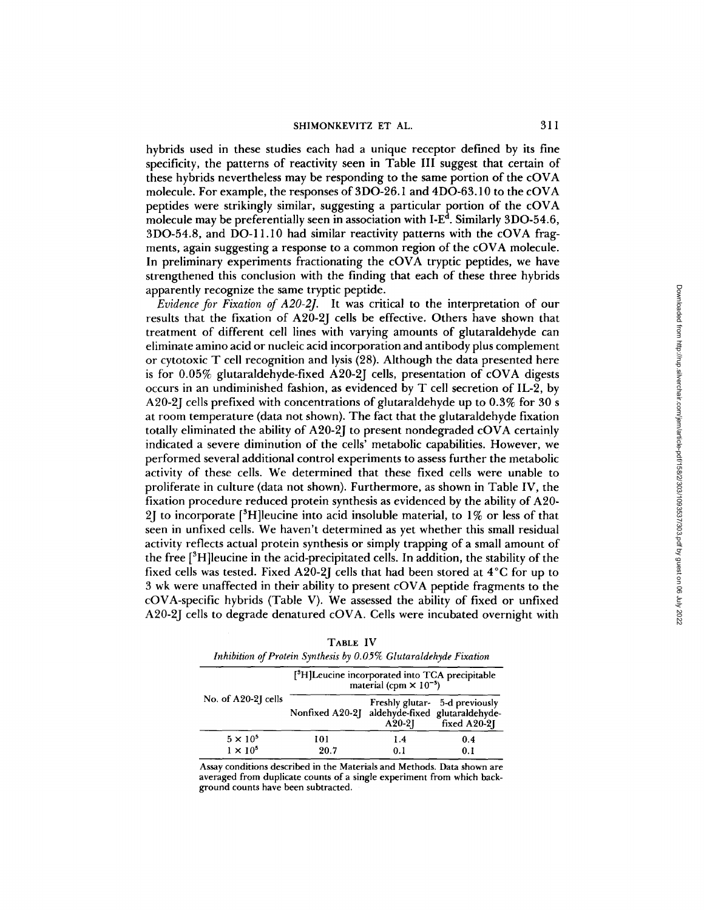hybrids used in these studies each had a unique receptor defined by its fine specificity, the patterns of reactivity seen in Table III suggest that certain of these hybrids nevertheless may be responding to the same portion of the cOVA molecule. For example, the responses of 3DO-26.1 and 4DO-63.10 to the cOVA peptides were strikingly similar, suggesting a particular portion of the cOVA molecule may be preferentially seen in association with I- $E<sup>d</sup>$ . Similarly 3DO-54.6, 3DO-54.8, and DO-11.10 had similar reactivity patterns with the cOVA fragments, again suggesting a response to a common region of the cOVA molecule. In preliminary experiments fractionating the cOVA tryptic peptides, we have strengthened this conclusion with the finding that each of these three hybrids apparently recognize the same tryptic peptide.

*Evidence for Fixation of A20-2J.* It was critical to the interpretation of our results that the fixation of A20-2J cells be effective. Others have shown that treatment of different cell lines with varying amounts of glutaraldehyde can eliminate amino acid or nucleic acid incorporation and antibody plus complement or cytotoxic T cell recognition and lysis (28). Although the data presented here is for 0.05% glutaraldehyde-fixed A20-2J cells, presentation of cOVA digests occurs in an undiminished fashion, as evidenced by T cell secretion of IL-2, by A20-2J cells prefixed with concentrations of glutaraldehyde up to 0.3% for 30 s at room temperature (data not shown). The fact that the glutaraldehyde fixation totally eliminated the ability of A20-2J to present nondegraded  $cOVA$  certainly indicated a severe diminution of the cells' metabolic capabilities. However, we performed several additional control experiments to assess further the metabolic activity of these cells. We determined that these fixed cells were unable to proliferate in culture (data not shown). Furthermore, as shown in Table IV, the fixation procedure reduced protein synthesis as evidenced by the ability of A20- 2] to incorporate  $[{}^{3}H]$ leucine into acid insoluble material, to 1% or less of that seen in unfixed cells. We haven't determined as yet whether this small residual activity reflects actual protein synthesis or simply trapping of a small amount of the free  $[{}^{3}H]$  leucine in the acid-precipitated cells. In addition, the stability of the fixed cells was tested. Fixed A20-2J cells that had been stored at 4°C for up to 3 wk were unaffected in their ability to present cOVA peptide fragments to the cOVA-specific hybrids (Table V). We assessed the ability of fixed or unfixed A20-2J cells to degrade denatured cOVA. Cells were incubated overnight with

|                     | [ <sup>3</sup> H]Leucine incorporated into TCA precipitable | material (cpm $\times$ 10 <sup>-3</sup> ) |                                                   |
|---------------------|-------------------------------------------------------------|-------------------------------------------|---------------------------------------------------|
| No. of A20-2J cells | Nonfixed A20-2] aldehyde-fixed glutaraldehyde-              | $A20-2I$                                  | Freshly glutar- 5-d previously<br>fixed $A20-2$ ] |
| $5 \times 10^5$     | 101                                                         | 1.4                                       | 0.4                                               |
| $1 \times 10^5$     | 20.7                                                        | 0.1                                       | 0.1                                               |

| TABLE IV                                                         |
|------------------------------------------------------------------|
| Inhibition of Protein Synthesis by 0.05% Glutaraldehyde Fixation |

Assay conditions described in the Materials and Methods. Data shown are averaged from duplicate counts of a single experiment from which background counts have been subtracted.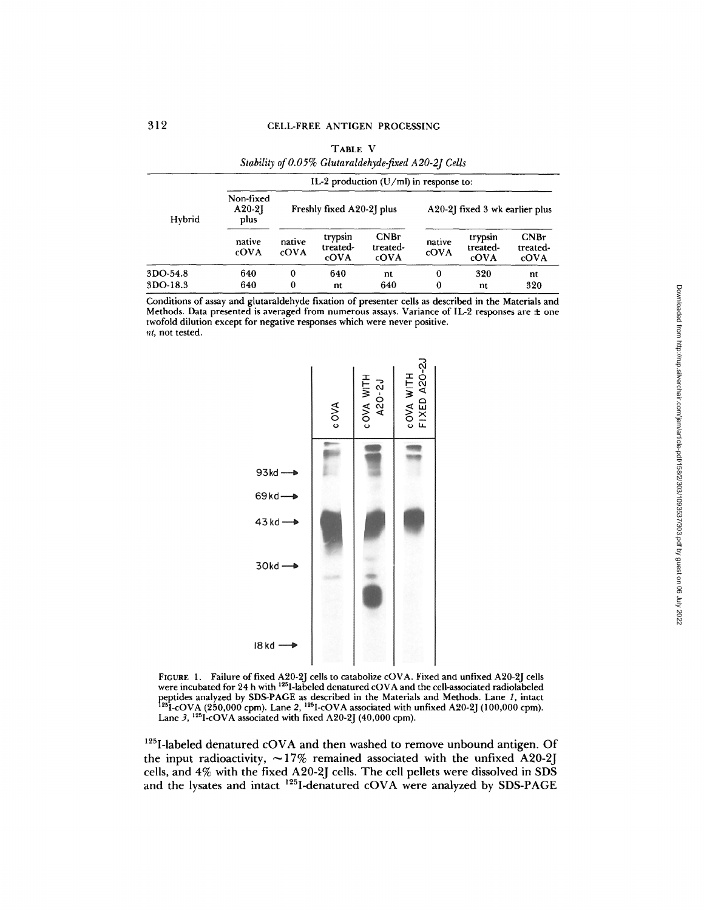|          |                                          |                | TABLE V                     | Stability of 0.05% Glutaraldehyde-fixed A20-2J Cells |                                |                             |                          |
|----------|------------------------------------------|----------------|-----------------------------|------------------------------------------------------|--------------------------------|-----------------------------|--------------------------|
|          | IL-2 production $(U/ml)$ in response to: |                |                             |                                                      |                                |                             |                          |
| Hybrid   | Non-fixed<br>$A20-2$<br>plus             |                | Freshly fixed A20-2] plus   |                                                      | A20-2] fixed 3 wk earlier plus |                             |                          |
|          | native<br>cOVA                           | native<br>cOVA | trypsin<br>treated-<br>cOVA | CNBr<br>treated-<br>cOVA                             | native<br>cOVA                 | trypsin<br>treated-<br>cOVA | CNBr<br>treated-<br>cOVA |
| 3DO-54.8 | 640                                      | $\bf{0}$       | 640                         | nt                                                   | $\theta$                       | 320                         | nt                       |
| 3DO-18.3 | 640                                      | 0              | nt                          | 640                                                  | $\bf{0}$                       | nt                          | 320                      |

Conditions of assay and glutaraldehyde fixation of presenter cells as described in the Materials and Methods. Data presented is averaged from numerous assays. Variance of IL-2 responses are  $\pm$  one twofold dilution except for negative responses which were never positive. *nt,* not tested.



FIGURE 1. Failure of fixed A20-2J cells to catabolize cOVA. Fixed and unfixed A20-2J cells were incubated for 24 h with 125I-labeled denatured cOVA and the cell-associated radiolabeled peptides analyzed by SDS-PAGE as described in the Materials and Methods. Lane 1, intact <sup>125</sup>I-cOVA (250,000 cpm). Lane 2, <sup>125</sup>I-cOVA associated with unfixed A20-2J (100,000 cpm).<br>Lane 3, <sup>125</sup>I-cOVA associated with fixed A20-2J (40,000 cpm).

<sup>125</sup>I-labeled denatured cOVA and then washed to remove unbound antigen. Of the input radioactivity,  $\sim$ 17% remained associated with the unfixed A20-2J cells, and 4% with the fixed A20-2J cells. The cell pellets were dissolved in SDS and the lysates and intact  $^{125}$ I-denatured cOVA were analyzed by SDS-PAGE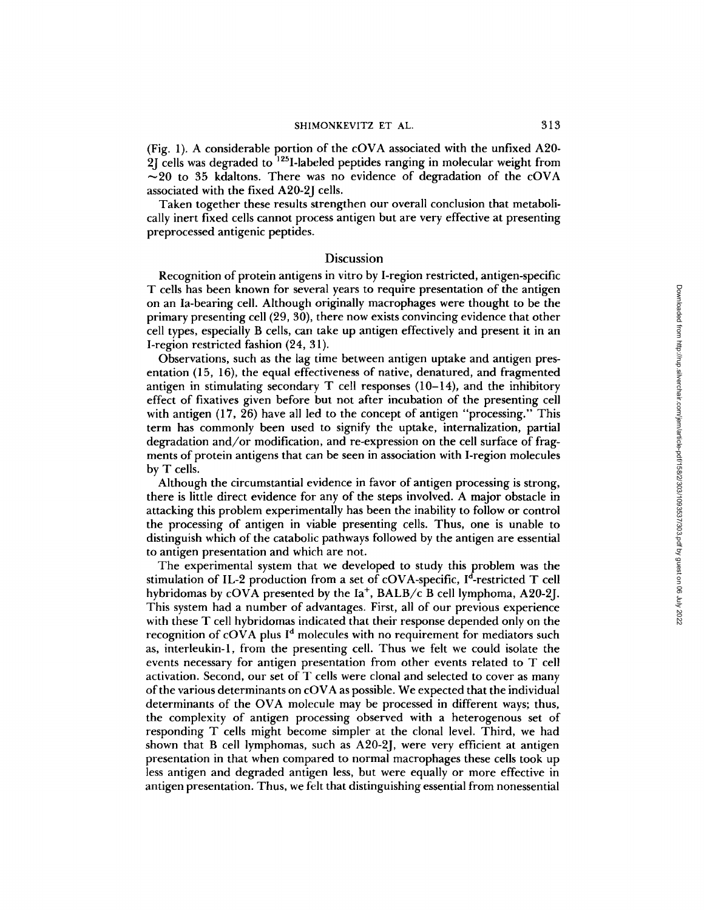(Fig. 1). A considerable portion of the cOVA associated with the unfixed A20- 2J cells was degraded to <sup>125</sup>I-labeled peptides ranging in molecular weight from  $\sim$ 20 to 35 kdaltons. There was no evidence of degradation of the cOVA associated with the fixed A20-2J cells.

Taken together these results strengthen our overall conclusion that metabolically inert fixed cells cannot process antigen but are very effective at presenting preprocessed antigenic peptides.

### Discussion

Recognition of protein antigens in vitro by I-region restricted, antigen-specific T cells has been known for several years to require presentation of the antigen on an Ia-bearing cell. Although originally macrophages were thought to be the primary presenting cell (20, 30), there now exists convincing evidence that other cell types, especially B cells, can take up antigen effectively and present it in an I-region restricted fashion (24, 31).

Observations, such as the lag time between antigen uptake and antigen presentation (15, 16), the equal effectiveness of native, denatured, and fragmented antigen in stimulating secondary  $T$  cell responses (10-14), and the inhibitory effect of fixatives given before but not after incubation of the presenting cell with antigen (17, 26) have all led to the concept of antigen "processing." This term has commonly been used to signify the uptake, internalization, partial degradation and/or modification, and re-expression on the cell surface of fragments of protein antigens that can be seen in association with I-region molecules by T cells.

Although the circumstantial evidence in favor of antigen processing is strong, there is little direct evidence for any of the steps involved. A major obstacle in attacking this problem experimentally has been the inability to follow or control the processing of antigen in viable presenting cells. Thus, one is unable to distinguish which of the catabolic pathways followed by the antigen are essential to antigen presentation and which are not.

The experimental system that we developed to study this problem was the stimulation of IL-2 production from a set of cOVA-specific,  $I^d$ -restricted T cell hybridomas by cOVA presented by the  $Ia^+$ , BALB/c B cell lymphoma, A20-2J. This system had a number of advantages. First, all of our previous experience with these T cell hybridomas indicated that their response depended only on the recognition of cOVA plus  $I<sup>d</sup>$  molecules with no requirement for mediators such as, interleukin-l, from the presenting cell. Thus we felt we could isolate the events necessary for antigen presentation from other events related to T cell activation. Second, our set of T cells were clonal and selected to cover as many of the various determinants on cOVA as possible. We expected that the individual determinants of the OVA molecule may be processed in different ways; thus, the complexity of antigen processing observed with a heterogenous set of responding T cells might become simpler at the clonal level. Third, we had shown that B cell lymphomas, such as A20-2J, were very efficient at antigen presentation in that when compared to normal macrophages these cells took up less antigen and degraded antigen less, but were equally or more effective in antigen presentation. Thus, we felt that distinguishing essential from nonessential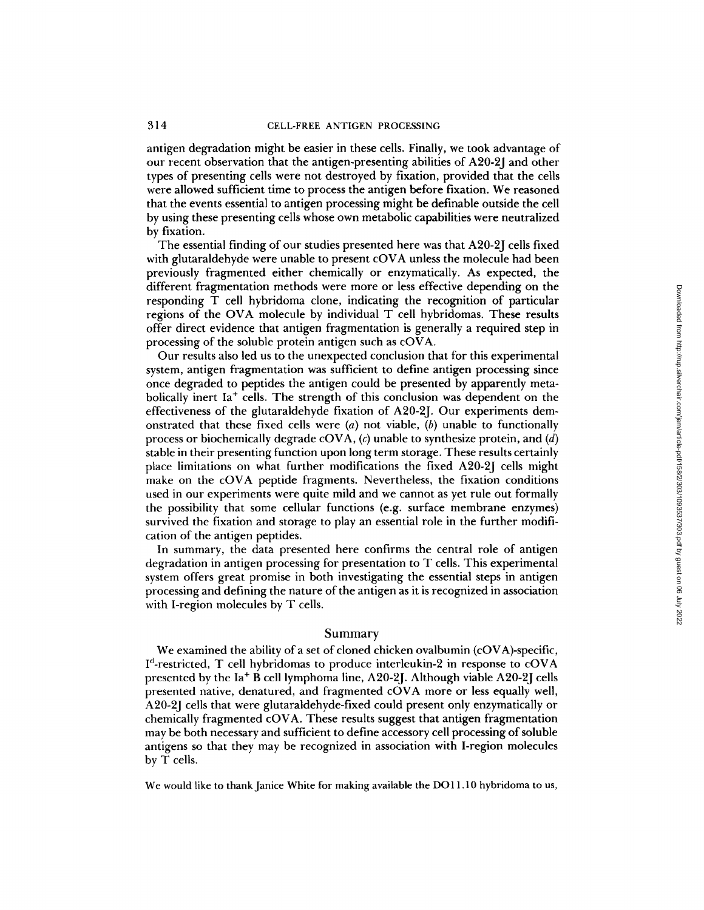antigen degradation might be easier in these cells. Finally, we took advantage of our recent observation that the antigen-presenting abilities of A20-2J and other types of presenting cells were not destroyed by fixation, provided that the cells were allowed sufficient time to process the antigen before fixation. We reasoned that the events essential to antigen processing might be definable outside the cell by using these presenting cells whose own metabolic capabilities were neutralized by fixation.

The essential finding of our studies presented here was that A20-2J cells fixed with glutaraldehyde were unable to present cOVA unless the molecule had been previously fragmented either chemically or enzymatically. As expected, the different fragmentation methods were more or less effective depending on the responding T cell hybridoma clone, indicating the recognition of particular regions of the OVA molecule by individual T cell hybridomas. These results offer direct evidence that antigen fragmentation is generally a required step in processing of the soluble protein antigen such as cOVA.

Our results also led us to the unexpected conclusion that for this experimental system, antigen fragmentation was sufficient to define antigen processing since once degraded to peptides the antigen could be presented by apparently metabolically inert  $Ia^+$  cells. The strength of this conclusion was dependent on the effectiveness of the glutaraidehyde fixation of A20-2J. Our experiments demonstrated that these fixed cells were  $(a)$  not viable,  $(b)$  unable to functionally process or biochemically degrade cOVA,  $(c)$  unable to synthesize protein, and  $(d)$ stable in their presenting function upon long term storage. These results certainly place limitations on what further modifications the fixed A20-2J cells might make on the cOVA peptide fragments. Nevertheless, the fixation conditions used in our experiments were quite mild and we cannot as yet rule out formally the possibility that some cellular functions (e.g. surface membrane enzymes) survived the fixation and storage to play an essential role in the further modification of the antigen peptides.

In summary, the data presented here confirms the central role of antigen degradation in antigen processing for presentation to T cells. This experimental system offers great promise in both investigating the essential steps in antigen processing and defining the nature of the antigen as it is recognized in association with I-region molecules by T cells.

### Summary

We examined the ability of a set of cloned chicken ovaibumin (cOVA)-specific,  $I<sup>d</sup>$ -restricted, T cell hybridomas to produce interleukin-2 in response to cOVA presented by the Ia + B cell iymphoma line, A20-2J. Although viable A20-2J cells presented native, denatured, and fragmented cOVA more or less equally well, A20-2J cells that were glutaraldehyde-fixed could present only enzymatically or chemically fragmented cOVA. These results suggest that antigen fragmentation may be both necessary and sufficient to define accessory cell processing of soluble antigens so that they may be recognized in association with I-region molecules by T cells.

We would like to thank Janice White for making available the DO11.10 hybridoma to us,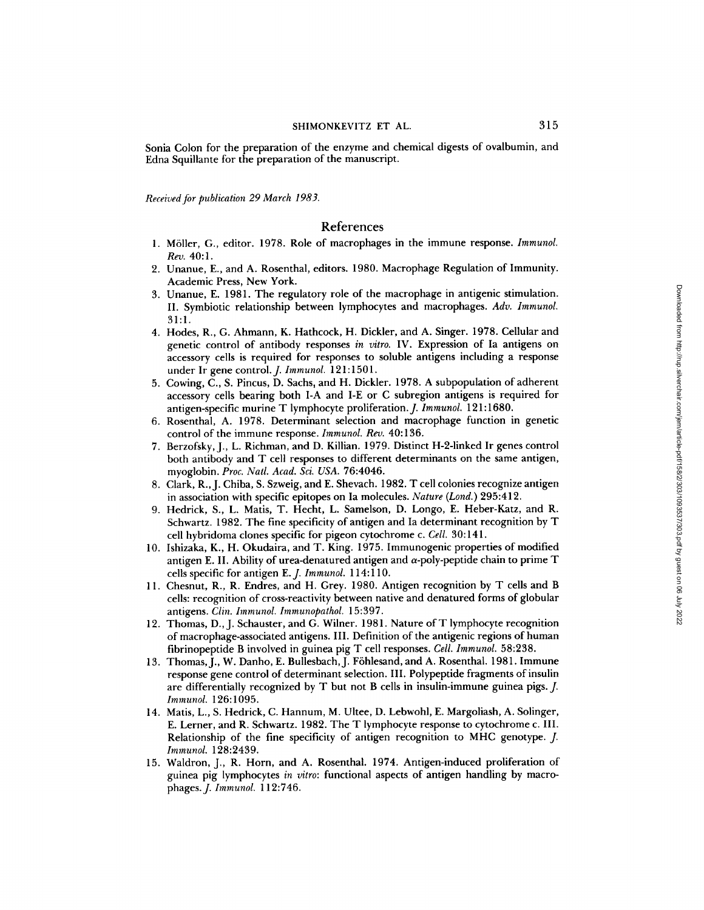Sonia Colon for the preparation of the enzyme and chemical digests of ovalbumin, and Edna Squillante for the preparation of the manuscript.

*Received for publication 29 March 1983.* 

# References

- 1. M611er, G., editor. 1978. Role of macrophages in the immune response. *Immunol.*  Rev. 40:1.
- 2. Unanue, E., and A. Rosenthal, editors. 1980. Macrophage Regulation of Immunity. Academic Press, New York.
- 3. Unanue, E. 1981. The regulatory role of the macrophage in antigenic stimulation. II. Symbiotic relationship between lymphocytes and macrophages. *Adv. Immunol.*  31:1.
- 4. Hodes, R., G. Ahmann, K. Hathcock, H. Dickler, and A. Singer. 1978. Cellular and genetic control of antibody responses in *vitro.* IV. Expression of Ia antigens on accessory cells is required for responses to soluble antigens including a response under Ir gene control. *J. Immunol.* 121:1501.
- 5. Cowing, C., S. Pincus, D. Sachs, and H. Dickler. 1978. A subpopulation of adherent accessory cells bearing both I-A and I-E or C subregion antigens is required for antigen-specific murine T lymphocyte proliferation. *J. Immunol.* 121:1680.
- 6. Rosenthal, A. 1978. Determinant selection and macrophage function in genetic control of the immune response. *Immunol. Rev.* 40:136.
- 7. Berzofsky, J., L. Richman, and D. Killian. 1979. Distinct H-2-1inked Ir genes control both antibody and T cell responses to different determinants on the same antigen, myoglobin. *Proc. Natl. Acad. Sci. USA.* 76:4046.
- 8. Clark, R.,J. Chiba, S. Szweig, and E. Shevach. 1982. T cell colonies recognize antigen in association with specific epitopes on Ia molecules. *Nature (Lond.)* 295:412.
- 9. Hedrick, S., L. Matis, T. Hecht, L. Samelson, D. Longo, E. Heber-Katz, and R. Schwartz. 1982. The fine specificity of antigen and Ia determinant recognition by T cell hybridoma clones specific for pigeon cytochrome c. *Cell.* 30:141.
- 10. Ishizaka, K., H. Okudaira, and T. King. 1975. Immunogenic properties of modified antigen E. II. Ability of urea-denatured antigen and  $\alpha$ -poly-peptide chain to prime T cells specific for antigen E.J. *Immunol.* 114:110.
- 11. Chesnut, R., R. Endres, and H. Grey. 1980. Antigen recognition by T cells and B cells: recognition of cross-reactivity between native and denatured forms of globular antigens. *Clin. Immunol. Immunopathol.* 15:397.
- 12. Thomas, D., J. Schauster, and G. Wilner. 1981. Nature of T lymphocyte recognition of macrophage-associated antigens. III. Definition of the antigenic regions of human fibrinopeptide B involved in guinea pig T cell responses. *Cell. Immunol.* 58:238.
- 13. Thomas, J., W. Danho, E. Bullesbach, J. Föhlesand, and A. Rosenthal. 1981. Immune response gene control of determinant selection. III. Polypeptide fragments of insulin are differentially recognized by T but not B cells in insulin-immune guinea pigs. J. *Immunol.* 126:1095.
- 14. Matis, L., S. Hedrick, C. Hannum, M. Ultee, D. Lebwohl, E. Margoliash, A. Solinger, E. Lerner, and R. Schwartz. 1982. The T lymphocyte response to cytochrome c. III. Relationship of the fine specificity of antigen recognition to MHC genotype. J. *lmmunol.* 128:2439.
- 15. Waldron, J., R. Horn, and A. Rosenthal. 1974. Antigen-induced proliferation of guinea pig lymphocytes *in vitro:* functional aspects of antigen handling by macrophages.J. *Immunol.* 112:746.